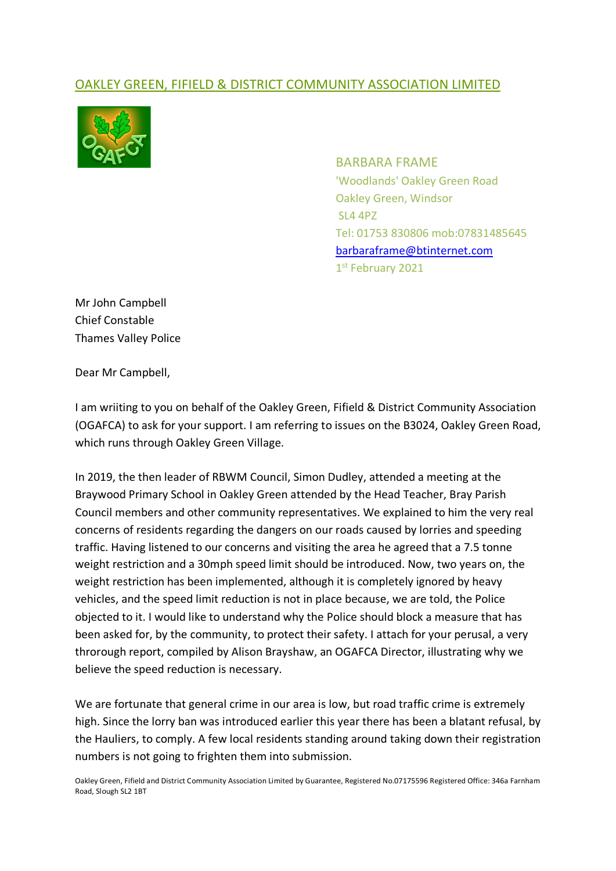## OAKLEY GREEN, FIFIELD & DISTRICT COMMUNITY ASSOCIATION LIMITED



BARBARA FRAME 'Woodlands' Oakley Green Road Oakley Green, Windsor SL4 4PZ Tel: 01753 830806 mob:07831485645 barbaraframe@btinternet.com 1st February 2021

Mr John Campbell Chief Constable Thames Valley Police

Dear Mr Campbell,

I am wriiting to you on behalf of the Oakley Green, Fifield & District Community Association (OGAFCA) to ask for your support. I am referring to issues on the B3024, Oakley Green Road, which runs through Oakley Green Village.

In 2019, the then leader of RBWM Council, Simon Dudley, attended a meeting at the Braywood Primary School in Oakley Green attended by the Head Teacher, Bray Parish Council members and other community representatives. We explained to him the very real concerns of residents regarding the dangers on our roads caused by lorries and speeding traffic. Having listened to our concerns and visiting the area he agreed that a 7.5 tonne weight restriction and a 30mph speed limit should be introduced. Now, two years on, the weight restriction has been implemented, although it is completely ignored by heavy vehicles, and the speed limit reduction is not in place because, we are told, the Police objected to it. I would like to understand why the Police should block a measure that has been asked for, by the community, to protect their safety. I attach for your perusal, a very throrough report, compiled by Alison Brayshaw, an OGAFCA Director, illustrating why we believe the speed reduction is necessary.

We are fortunate that general crime in our area is low, but road traffic crime is extremely high. Since the lorry ban was introduced earlier this year there has been a blatant refusal, by the Hauliers, to comply. A few local residents standing around taking down their registration numbers is not going to frighten them into submission.

Oakley Green, Fifield and District Community Association Limited by Guarantee, Registered No.07175596 Registered Office: 346a Farnham Road, Slough SL2 1BT